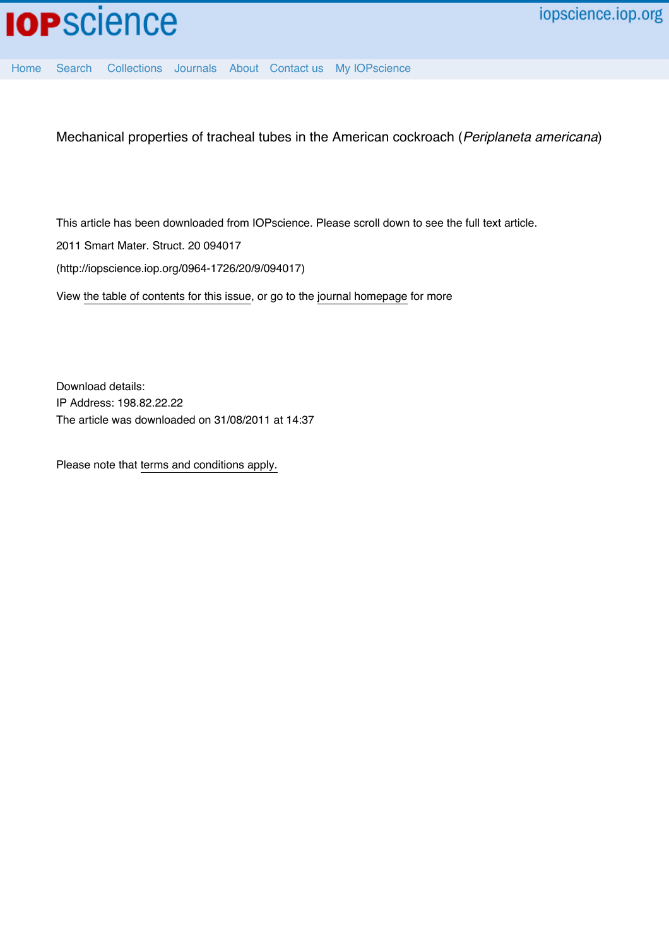

[Home](http://iopscience.iop.org/) [Search](http://iopscience.iop.org/search) [Collections](http://iopscience.iop.org/collections) [Journals](http://iopscience.iop.org/journals) [About](http://iopscience.iop.org/page/aboutioppublishing) [Contact us](http://iopscience.iop.org/contact) [My IOPscience](http://iopscience.iop.org/myiopscience)

Mechanical properties of tracheal tubes in the American cockroach (*Periplaneta americana*)

This article has been downloaded from IOPscience. Please scroll down to see the full text article.

2011 Smart Mater. Struct. 20 094017

(http://iopscience.iop.org/0964-1726/20/9/094017)

View [the table of contents for this issue](http://iopscience.iop.org/0964-1726/20/9), or go to the [journal homepage](http://iopscience.iop.org/0964-1726) for more

Download details: IP Address: 198.82.22.22 The article was downloaded on 31/08/2011 at 14:37

Please note that [terms and conditions apply.](http://iopscience.iop.org/page/terms)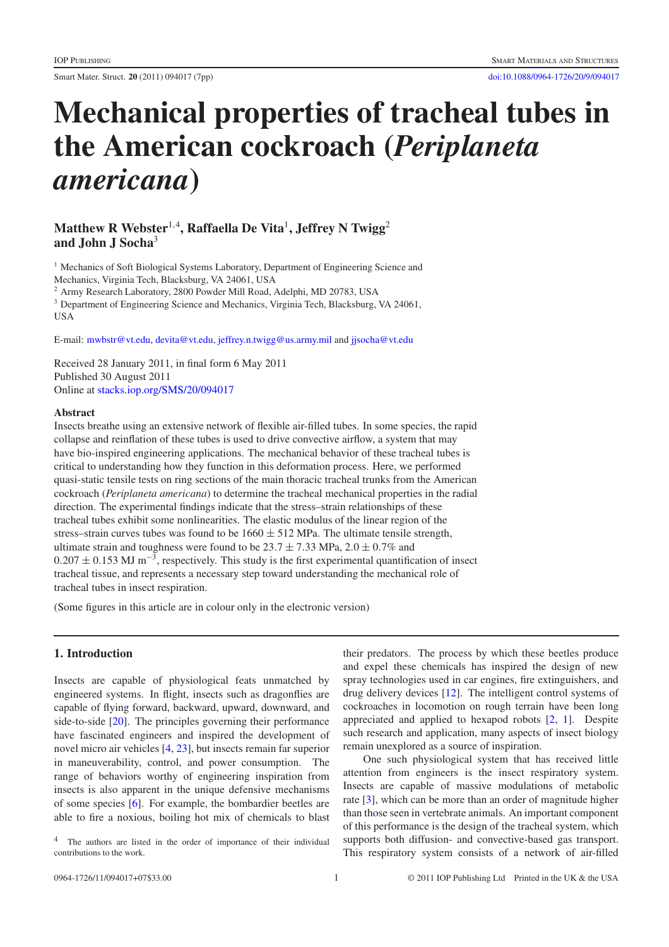Smart Mater. Struct. **20** (2011) 094017 (7pp) [doi:10.1088/0964-1726/20/9/094017](http://dx.doi.org/10.1088/0964-1726/20/9/094017)

# **Mechanical properties of tracheal tubes in the American cockroach (***Periplaneta americana***)**

## **Matthew R Webster**<sup>1</sup>,<sup>4</sup> **, Raffaella De Vita**<sup>1</sup>**, Jeffrey N Twigg**<sup>2</sup> **and John J Socha**<sup>3</sup>

<sup>1</sup> Mechanics of Soft Biological Systems Laboratory, Department of Engineering Science and Mechanics, Virginia Tech, Blacksburg, VA 24061, USA

<sup>2</sup> Army Research Laboratory, 2800 Powder Mill Road, Adelphi, MD 20783, USA

<sup>3</sup> Department of Engineering Science and Mechanics, Virginia Tech, Blacksburg, VA 24061, **USA** 

E-mail: [mwbstr@vt.edu,](mailto:mwbstr@vt.edu) [devita@vt.edu,](mailto:devita@vt.edu) [jeffrey.n.twigg@us.army.mil](mailto:jeffrey.n.twigg@us.army.mil) and [jjsocha@vt.edu](mailto:jjsocha@vt.edu)

Received 28 January 2011, in final form 6 May 2011 Published 30 August 2011 Online at [stacks.iop.org/SMS/20/094017](http://stacks.iop.org/SMS/20/094017)

#### **Abstract**

Insects breathe using an extensive network of flexible air-filled tubes. In some species, the rapid collapse and reinflation of these tubes is used to drive convective airflow, a system that may have bio-inspired engineering applications. The mechanical behavior of these tracheal tubes is critical to understanding how they function in this deformation process. Here, we performed quasi-static tensile tests on ring sections of the main thoracic tracheal trunks from the American cockroach (*Periplaneta americana*) to determine the tracheal mechanical properties in the radial direction. The experimental findings indicate that the stress–strain relationships of these tracheal tubes exhibit some nonlinearities. The elastic modulus of the linear region of the stress–strain curves tubes was found to be  $1660 \pm 512$  MPa. The ultimate tensile strength, ultimate strain and toughness were found to be  $23.7 \pm 7.33$  MPa,  $2.0 \pm 0.7\%$  and  $0.207 \pm 0.153$  MJ m<sup>-3</sup>, respectively. This study is the first experimental quantification of insect tracheal tissue, and represents a necessary step toward understanding the mechanical role of tracheal tubes in insect respiration.

(Some figures in this article are in colour only in the electronic version)

### **1. Introduction**

Insects are capable of physiological feats unmatched by engineered systems. In flight, insects such as dragonflies are capable of flying forward, backward, upward, downward, and side-to-side [\[20\]](#page-7-0). The principles governing their performance have fascinated engineers and inspired the development of novel micro air vehicles [\[4,](#page-7-1) [23\]](#page-7-2), but insects remain far superior in maneuverability, control, and power consumption. The range of behaviors worthy of engineering inspiration from insects is also apparent in the unique defensive mechanisms of some species [\[6\]](#page-7-3). For example, the bombardier beetles are able to fire a noxious, boiling hot mix of chemicals to blast

their predators. The process by which these beetles produce and expel these chemicals has inspired the design of new spray technologies used in car engines, fire extinguishers, and drug delivery devices [\[12\]](#page-7-4). The intelligent control systems of cockroaches in locomotion on rough terrain have been long appreciated and applied to hexapod robots [\[2,](#page-7-5) [1\]](#page-7-6). Despite such research and application, many aspects of insect biology remain unexplored as a source of inspiration.

One such physiological system that has received little attention from engineers is the insect respiratory system. Insects are capable of massive modulations of metabolic rate [\[3\]](#page-7-7), which can be more than an order of magnitude higher than those seen in vertebrate animals. An important component of this performance is the design of the tracheal system, which supports both diffusion- and convective-based gas transport. This respiratory system consists of a network of air-filled

The authors are listed in the order of importance of their individual contributions to the work.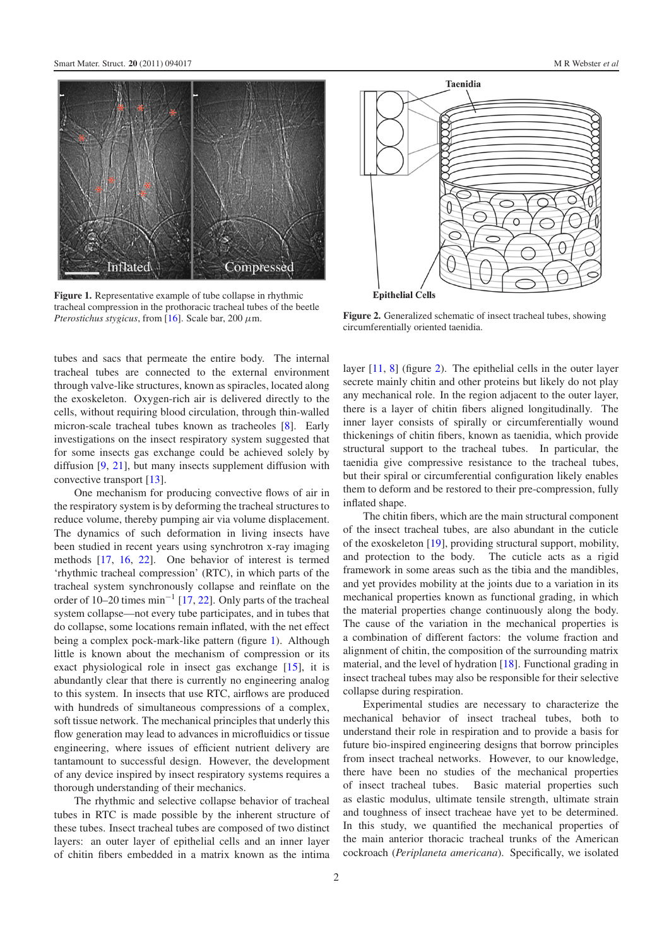<span id="page-2-0"></span>

**Figure 1.** Representative example of tube collapse in rhythmic tracheal compression in the prothoracic tracheal tubes of the beetle *Pterostichus stygicus*, from [\[16\]](#page-7-8). Scale bar, 200  $\mu$ m.

tubes and sacs that permeate the entire body. The internal tracheal tubes are connected to the external environment through valve-like structures, known as spiracles, located along the exoskeleton. Oxygen-rich air is delivered directly to the cells, without requiring blood circulation, through thin-walled micron-scale tracheal tubes known as tracheoles [\[8\]](#page-7-9). Early investigations on the insect respiratory system suggested that for some insects gas exchange could be achieved solely by diffusion [\[9,](#page-7-10) [21\]](#page-7-11), but many insects supplement diffusion with convective transport [\[13\]](#page-7-12).

One mechanism for producing convective flows of air in the respiratory system is by deforming the tracheal structures to reduce volume, thereby pumping air via volume displacement. The dynamics of such deformation in living insects have been studied in recent years using synchrotron x-ray imaging methods [\[17,](#page-7-13) [16,](#page-7-8) [22\]](#page-7-14). One behavior of interest is termed 'rhythmic tracheal compression' (RTC), in which parts of the tracheal system synchronously collapse and reinflate on the order of 10–20 times  $min^{-1}$  [\[17,](#page-7-13) [22\]](#page-7-14). Only parts of the tracheal system collapse—not every tube participates, and in tubes that do collapse, some locations remain inflated, with the net effect being a complex pock-mark-like pattern (figure [1\)](#page-2-0). Although little is known about the mechanism of compression or its exact physiological role in insect gas exchange [\[15\]](#page-7-15), it is abundantly clear that there is currently no engineering analog to this system. In insects that use RTC, airflows are produced with hundreds of simultaneous compressions of a complex, soft tissue network. The mechanical principles that underly this flow generation may lead to advances in microfluidics or tissue engineering, where issues of efficient nutrient delivery are tantamount to successful design. However, the development of any device inspired by insect respiratory systems requires a thorough understanding of their mechanics.

The rhythmic and selective collapse behavior of tracheal tubes in RTC is made possible by the inherent structure of these tubes. Insect tracheal tubes are composed of two distinct layers: an outer layer of epithelial cells and an inner layer of chitin fibers embedded in a matrix known as the intima

<span id="page-2-1"></span>

**Figure 2.** Generalized schematic of insect tracheal tubes, showing circumferentially oriented taenidia.

layer [\[11,](#page-7-16) [8\]](#page-7-9) (figure [2\)](#page-2-1). The epithelial cells in the outer layer secrete mainly chitin and other proteins but likely do not play any mechanical role. In the region adjacent to the outer layer, there is a layer of chitin fibers aligned longitudinally. The inner layer consists of spirally or circumferentially wound thickenings of chitin fibers, known as taenidia, which provide structural support to the tracheal tubes. In particular, the taenidia give compressive resistance to the tracheal tubes, but their spiral or circumferential configuration likely enables them to deform and be restored to their pre-compression, fully inflated shape.

The chitin fibers, which are the main structural component of the insect tracheal tubes, are also abundant in the cuticle of the exoskeleton [\[19\]](#page-7-17), providing structural support, mobility, and protection to the body. The cuticle acts as a rigid framework in some areas such as the tibia and the mandibles, and yet provides mobility at the joints due to a variation in its mechanical properties known as functional grading, in which the material properties change continuously along the body. The cause of the variation in the mechanical properties is a combination of different factors: the volume fraction and alignment of chitin, the composition of the surrounding matrix material, and the level of hydration [\[18\]](#page-7-18). Functional grading in insect tracheal tubes may also be responsible for their selective collapse during respiration.

Experimental studies are necessary to characterize the mechanical behavior of insect tracheal tubes, both to understand their role in respiration and to provide a basis for future bio-inspired engineering designs that borrow principles from insect tracheal networks. However, to our knowledge, there have been no studies of the mechanical properties of insect tracheal tubes. Basic material properties such as elastic modulus, ultimate tensile strength, ultimate strain and toughness of insect tracheae have yet to be determined. In this study, we quantified the mechanical properties of the main anterior thoracic tracheal trunks of the American cockroach (*Periplaneta americana*). Specifically, we isolated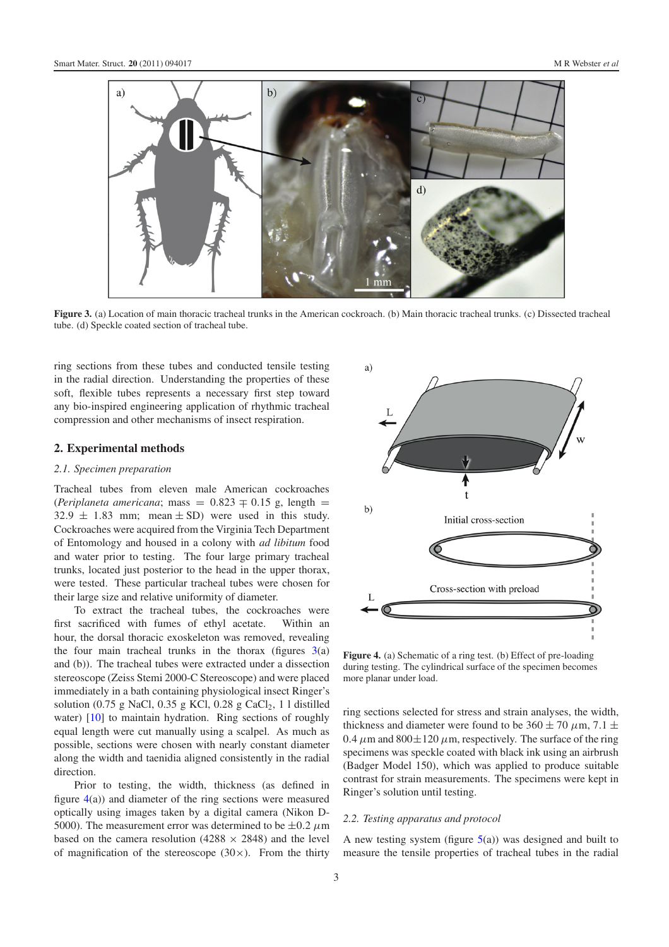<span id="page-3-0"></span>

**Figure 3.** (a) Location of main thoracic tracheal trunks in the American cockroach. (b) Main thoracic tracheal trunks. (c) Dissected tracheal tube. (d) Speckle coated section of tracheal tube.

ring sections from these tubes and conducted tensile testing in the radial direction. Understanding the properties of these soft, flexible tubes represents a necessary first step toward any bio-inspired engineering application of rhythmic tracheal compression and other mechanisms of insect respiration.

#### **2. Experimental methods**

#### *2.1. Specimen preparation*

Tracheal tubes from eleven male American cockroaches (*Periplaneta americana*; mass =  $0.823 \pm 0.15$  g, length =  $32.9 \pm 1.83$  mm; mean  $\pm$  SD) were used in this study. Cockroaches were acquired from the Virginia Tech Department of Entomology and housed in a colony with *ad libitum* food and water prior to testing. The four large primary tracheal trunks, located just posterior to the head in the upper thorax, were tested. These particular tracheal tubes were chosen for their large size and relative uniformity of diameter.

To extract the tracheal tubes, the cockroaches were first sacrificed with fumes of ethyl acetate. Within an hour, the dorsal thoracic exoskeleton was removed, revealing the four main tracheal trunks in the thorax (figures  $3(a)$  $3(a)$ ) and (b)). The tracheal tubes were extracted under a dissection stereoscope (Zeiss Stemi 2000-C Stereoscope) and were placed immediately in a bath containing physiological insect Ringer's solution (0.75 g NaCl, 0.35 g KCl, 0.28 g CaCl<sub>2</sub>, 1 l distilled water) [\[10\]](#page-7-19) to maintain hydration. Ring sections of roughly equal length were cut manually using a scalpel. As much as possible, sections were chosen with nearly constant diameter along the width and taenidia aligned consistently in the radial direction.

Prior to testing, the width, thickness (as defined in figure [4\(](#page-3-1)a)) and diameter of the ring sections were measured optically using images taken by a digital camera (Nikon D-5000). The measurement error was determined to be  $\pm 0.2 \mu$ m based on the camera resolution (4288  $\times$  2848) and the level of magnification of the stereoscope  $(30\times)$ . From the thirty

<span id="page-3-1"></span>

**Figure 4.** (a) Schematic of a ring test. (b) Effect of pre-loading during testing. The cylindrical surface of the specimen becomes more planar under load.

ring sections selected for stress and strain analyses, the width, thickness and diameter were found to be  $360 \pm 70 \ \mu \text{m}$ ,  $7.1 \pm$ 0.4  $\mu$ m and 800 $\pm$ 120  $\mu$ m, respectively. The surface of the ring specimens was speckle coated with black ink using an airbrush (Badger Model 150), which was applied to produce suitable contrast for strain measurements. The specimens were kept in Ringer's solution until testing.

#### *2.2. Testing apparatus and protocol*

A new testing system (figure  $5(a)$  $5(a)$ ) was designed and built to measure the tensile properties of tracheal tubes in the radial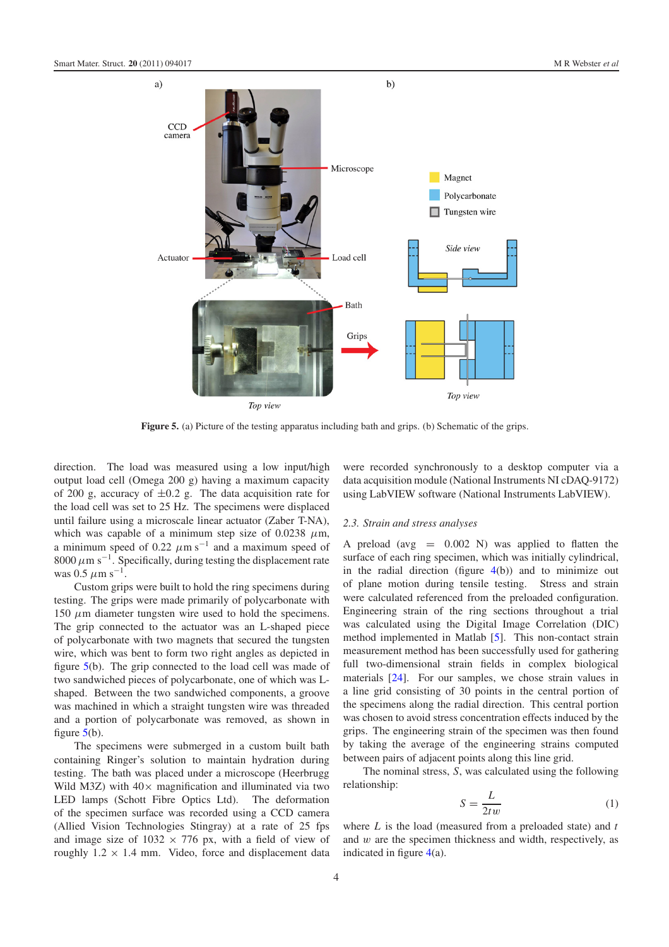<span id="page-4-0"></span>

**Figure 5.** (a) Picture of the testing apparatus including bath and grips. (b) Schematic of the grips.

direction. The load was measured using a low input/high output load cell (Omega 200 g) having a maximum capacity of 200 g, accuracy of  $\pm 0.2$  g. The data acquisition rate for the load cell was set to 25 Hz. The specimens were displaced until failure using a microscale linear actuator (Zaber T-NA), which was capable of a minimum step size of 0.0238  $\mu$ m, a minimum speed of 0.22  $\mu$ m s<sup>-1</sup> and a maximum speed of 8000  $\mu$ m s<sup>-1</sup>. Specifically, during testing the displacement rate was 0.5  $\mu$ m s<sup>-1</sup>.

Custom grips were built to hold the ring specimens during testing. The grips were made primarily of polycarbonate with 150  $\mu$ m diameter tungsten wire used to hold the specimens. The grip connected to the actuator was an L-shaped piece of polycarbonate with two magnets that secured the tungsten wire, which was bent to form two right angles as depicted in figure [5\(](#page-4-0)b). The grip connected to the load cell was made of two sandwiched pieces of polycarbonate, one of which was Lshaped. Between the two sandwiched components, a groove was machined in which a straight tungsten wire was threaded and a portion of polycarbonate was removed, as shown in figure  $5(b)$  $5(b)$ .

The specimens were submerged in a custom built bath containing Ringer's solution to maintain hydration during testing. The bath was placed under a microscope (Heerbrugg Wild M3Z) with  $40 \times$  magnification and illuminated via two LED lamps (Schott Fibre Optics Ltd). The deformation LED lamps (Schott Fibre Optics Ltd). of the specimen surface was recorded using a CCD camera (Allied Vision Technologies Stingray) at a rate of 25 fps and image size of  $1032 \times 776$  px, with a field of view of roughly  $1.2 \times 1.4$  mm. Video, force and displacement data were recorded synchronously to a desktop computer via a data acquisition module (National Instruments NI cDAQ-9172) using LabVIEW software (National Instruments LabVIEW).

#### *2.3. Strain and stress analyses*

A preload (avg  $= 0.002$  N) was applied to flatten the surface of each ring specimen, which was initially cylindrical, in the radial direction (figure  $4(b)$  $4(b)$ ) and to minimize out of plane motion during tensile testing. Stress and strain were calculated referenced from the preloaded configuration. Engineering strain of the ring sections throughout a trial was calculated using the Digital Image Correlation (DIC) method implemented in Matlab [\[5\]](#page-7-20). This non-contact strain measurement method has been successfully used for gathering full two-dimensional strain fields in complex biological materials [\[24\]](#page-7-21). For our samples, we chose strain values in a line grid consisting of 30 points in the central portion of the specimens along the radial direction. This central portion was chosen to avoid stress concentration effects induced by the grips. The engineering strain of the specimen was then found by taking the average of the engineering strains computed between pairs of adjacent points along this line grid.

The nominal stress, *S*, was calculated using the following relationship:

$$
S = \frac{L}{2tw} \tag{1}
$$

where *L* is the load (measured from a preloaded state) and *t* and w are the specimen thickness and width, respectively, as indicated in figure  $4(a)$  $4(a)$ .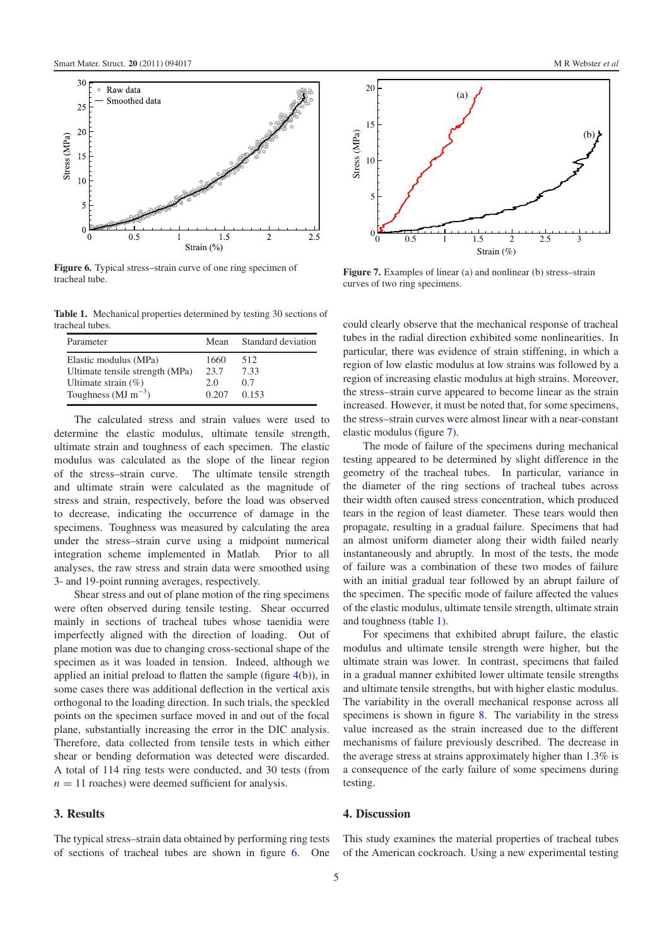<span id="page-5-0"></span>

<span id="page-5-2"></span>**Figure 6.** Typical stress–strain curve of one ring specimen of tracheal tube.

**Table 1.** Mechanical properties determined by testing 30 sections of tracheal tubes.

| Parameter                       | Mean  | Standard deviation |
|---------------------------------|-------|--------------------|
| Elastic modulus (MPa)           | 1660  | 512                |
| Ultimate tensile strength (MPa) | 23.7  | 7.33               |
| Ultimate strain $(\%)$          | 2.0   | 0.7                |
| Toughness ( $MJ \, m^{-3}$ )    | 0.207 | 0.153              |

The calculated stress and strain values were used to determine the elastic modulus, ultimate tensile strength, ultimate strain and toughness of each specimen. The elastic modulus was calculated as the slope of the linear region of the stress–strain curve. The ultimate tensile strength and ultimate strain were calculated as the magnitude of stress and strain, respectively, before the load was observed to decrease, indicating the occurrence of damage in the specimens. Toughness was measured by calculating the area under the stress–strain curve using a midpoint numerical integration scheme implemented in Matlab. Prior to all analyses, the raw stress and strain data were smoothed using 3- and 19-point running averages, respectively.

Shear stress and out of plane motion of the ring specimens were often observed during tensile testing. Shear occurred mainly in sections of tracheal tubes whose taenidia were imperfectly aligned with the direction of loading. Out of plane motion was due to changing cross-sectional shape of the specimen as it was loaded in tension. Indeed, although we applied an initial preload to flatten the sample (figure [4\(](#page-3-1)b)), in some cases there was additional deflection in the vertical axis orthogonal to the loading direction. In such trials, the speckled points on the specimen surface moved in and out of the focal plane, substantially increasing the error in the DIC analysis. Therefore, data collected from tensile tests in which either shear or bending deformation was detected were discarded. A total of 114 ring tests were conducted, and 30 tests (from  $n = 11$  roaches) were deemed sufficient for analysis.

#### **3. Results**

The typical stress–strain data obtained by performing ring tests of sections of tracheal tubes are shown in figure [6.](#page-5-0) One

<span id="page-5-1"></span>

**Figure 7.** Examples of linear (a) and nonlinear (b) stress–strain curves of two ring specimens.

could clearly observe that the mechanical response of tracheal tubes in the radial direction exhibited some nonlinearities. In particular, there was evidence of strain stiffening, in which a region of low elastic modulus at low strains was followed by a region of increasing elastic modulus at high strains. Moreover, the stress–strain curve appeared to become linear as the strain increased. However, it must be noted that, for some specimens, the stress–strain curves were almost linear with a near-constant elastic modulus (figure [7\)](#page-5-1).

The mode of failure of the specimens during mechanical testing appeared to be determined by slight difference in the geometry of the tracheal tubes. In particular, variance in the diameter of the ring sections of tracheal tubes across their width often caused stress concentration, which produced tears in the region of least diameter. These tears would then propagate, resulting in a gradual failure. Specimens that had an almost uniform diameter along their width failed nearly instantaneously and abruptly. In most of the tests, the mode of failure was a combination of these two modes of failure with an initial gradual tear followed by an abrupt failure of the specimen. The specific mode of failure affected the values of the elastic modulus, ultimate tensile strength, ultimate strain and toughness (table [1\)](#page-5-2).

For specimens that exhibited abrupt failure, the elastic modulus and ultimate tensile strength were higher, but the ultimate strain was lower. In contrast, specimens that failed in a gradual manner exhibited lower ultimate tensile strengths and ultimate tensile strengths, but with higher elastic modulus. The variability in the overall mechanical response across all specimens is shown in figure [8.](#page-6-0) The variability in the stress value increased as the strain increased due to the different mechanisms of failure previously described. The decrease in the average stress at strains approximately higher than 1.3% is a consequence of the early failure of some specimens during testing.

#### **4. Discussion**

This study examines the material properties of tracheal tubes of the American cockroach. Using a new experimental testing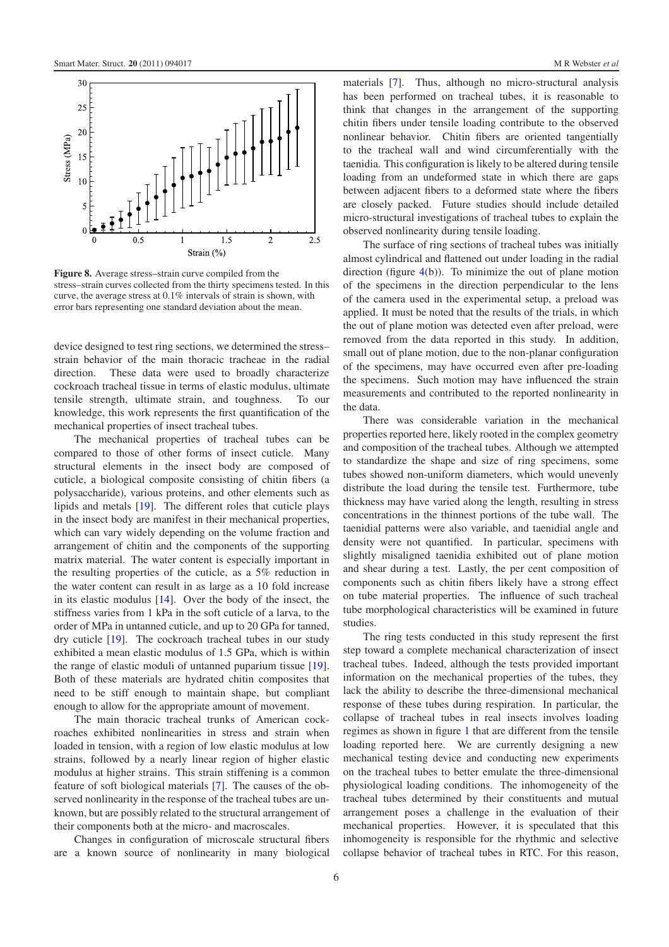<span id="page-6-0"></span>

**Figure 8.** Average stress–strain curve compiled from the stress–strain curves collected from the thirty specimens tested. In this curve, the average stress at 0.1% intervals of strain is shown, with error bars representing one standard deviation about the mean.

device designed to test ring sections, we determined the stress– strain behavior of the main thoracic tracheae in the radial direction. These data were used to broadly characterize cockroach tracheal tissue in terms of elastic modulus, ultimate tensile strength, ultimate strain, and toughness. To our knowledge, this work represents the first quantification of the mechanical properties of insect tracheal tubes.

The mechanical properties of tracheal tubes can be compared to those of other forms of insect cuticle. Many structural elements in the insect body are composed of cuticle, a biological composite consisting of chitin fibers (a polysaccharide), various proteins, and other elements such as lipids and metals [\[19\]](#page-7-17). The different roles that cuticle plays in the insect body are manifest in their mechanical properties, which can vary widely depending on the volume fraction and arrangement of chitin and the components of the supporting matrix material. The water content is especially important in the resulting properties of the cuticle, as a 5% reduction in the water content can result in as large as a 10 fold increase in its elastic modulus [\[14\]](#page-7-22). Over the body of the insect, the stiffness varies from 1 kPa in the soft cuticle of a larva, to the order of MPa in untanned cuticle, and up to 20 GPa for tanned, dry cuticle [\[19\]](#page-7-17). The cockroach tracheal tubes in our study exhibited a mean elastic modulus of 1.5 GPa, which is within the range of elastic moduli of untanned puparium tissue [\[19\]](#page-7-17). Both of these materials are hydrated chitin composites that need to be stiff enough to maintain shape, but compliant enough to allow for the appropriate amount of movement.

The main thoracic tracheal trunks of American cockroaches exhibited nonlinearities in stress and strain when loaded in tension, with a region of low elastic modulus at low strains, followed by a nearly linear region of higher elastic modulus at higher strains. This strain stiffening is a common feature of soft biological materials [\[7\]](#page-7-23). The causes of the observed nonlinearity in the response of the tracheal tubes are unknown, but are possibly related to the structural arrangement of their components both at the micro- and macroscales.

Changes in configuration of microscale structural fibers are a known source of nonlinearity in many biological

materials [\[7\]](#page-7-23). Thus, although no micro-structural analysis has been performed on tracheal tubes, it is reasonable to think that changes in the arrangement of the supporting chitin fibers under tensile loading contribute to the observed nonlinear behavior. Chitin fibers are oriented tangentially to the tracheal wall and wind circumferentially with the taenidia. This configuration is likely to be altered during tensile loading from an undeformed state in which there are gaps between adjacent fibers to a deformed state where the fibers are closely packed. Future studies should include detailed micro-structural investigations of tracheal tubes to explain the observed nonlinearity during tensile loading.

The surface of ring sections of tracheal tubes was initially almost cylindrical and flattened out under loading in the radial direction (figure [4\(](#page-3-1)b)). To minimize the out of plane motion of the specimens in the direction perpendicular to the lens of the camera used in the experimental setup, a preload was applied. It must be noted that the results of the trials, in which the out of plane motion was detected even after preload, were removed from the data reported in this study. In addition, small out of plane motion, due to the non-planar configuration of the specimens, may have occurred even after pre-loading the specimens. Such motion may have influenced the strain measurements and contributed to the reported nonlinearity in the data.

There was considerable variation in the mechanical properties reported here, likely rooted in the complex geometry and composition of the tracheal tubes. Although we attempted to standardize the shape and size of ring specimens, some tubes showed non-uniform diameters, which would unevenly distribute the load during the tensile test. Furthermore, tube thickness may have varied along the length, resulting in stress concentrations in the thinnest portions of the tube wall. The taenidial patterns were also variable, and taenidial angle and density were not quantified. In particular, specimens with slightly misaligned taenidia exhibited out of plane motion and shear during a test. Lastly, the per cent composition of components such as chitin fibers likely have a strong effect on tube material properties. The influence of such tracheal tube morphological characteristics will be examined in future studies.

The ring tests conducted in this study represent the first step toward a complete mechanical characterization of insect tracheal tubes. Indeed, although the tests provided important information on the mechanical properties of the tubes, they lack the ability to describe the three-dimensional mechanical response of these tubes during respiration. In particular, the collapse of tracheal tubes in real insects involves loading regimes as shown in figure [1](#page-2-0) that are different from the tensile loading reported here. We are currently designing a new mechanical testing device and conducting new experiments on the tracheal tubes to better emulate the three-dimensional physiological loading conditions. The inhomogeneity of the tracheal tubes determined by their constituents and mutual arrangement poses a challenge in the evaluation of their mechanical properties. However, it is speculated that this inhomogeneity is responsible for the rhythmic and selective collapse behavior of tracheal tubes in RTC. For this reason,